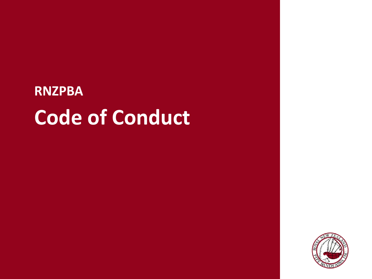# **RNZPBA Code of Conduct**

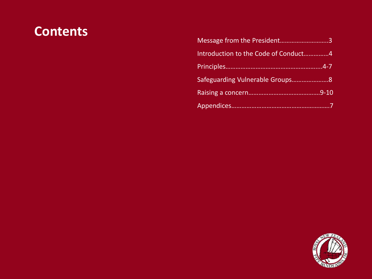### **Contents**

| Message from the President3          |  |
|--------------------------------------|--|
| Introduction to the Code of Conduct4 |  |
|                                      |  |
|                                      |  |
|                                      |  |
|                                      |  |

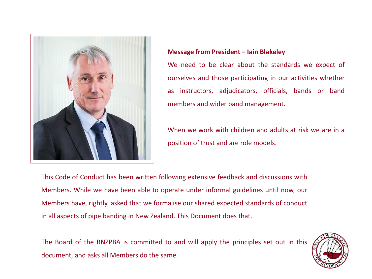

#### **Message from President – Iain Blakeley**

We need to be clear about the standards we expect of ourselves and those participating in our activities whether as instructors, adjudicators, officials, bands or band members and wider band management.

When we work with children and adults at risk we are in a position of trust and are role models.

This Code of Conduct has been written following extensive feedback and discussions with Members. While we have been able to operate under informal guidelines until now, our Members have, rightly, asked that we formalise our shared expected standards of conduct in all aspects of pipe banding in New Zealand. This Document does that.

The Board of the RNZPBA is committed to and will apply the principles set out in this document, and asks all Members do the same.

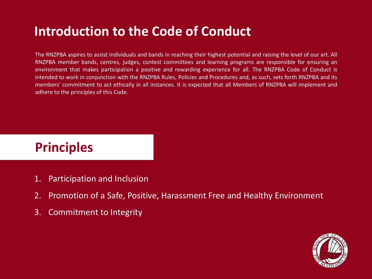## **Introduction to the Code of Conduct**

The RNZPBA aspires to assist individuals and bands in reaching their highest potential and raising the level of our art. All RNZPBA member bands, centres, judges, contest committees and learning programs are responsible for ensuring an environment that makes participation a positive and rewarding experience for all. The RNZPBA Code of Conduct is intended to work in conjunction with the RNZPBA Rules, Policies and Procedures and, as such, sets forth RNZPBA and its members' commitment to act ethically in all instances. It is expected that all Members of RNZPBA will implement and adhere to the principles of this Code.

### **Principles**

- 1. Participation and Inclusion
- 2. Promotion of a Safe, Positive, Harassment Free and Healthy Environment
- 3. Commitment to Integrity

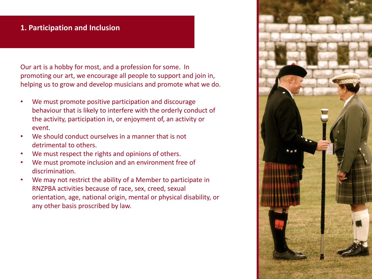#### **1. Participation and Inclusion**

Our art is a hobby for most, and a profession for some. In promoting our art, we encourage all people to support and join in, helping us to grow and develop musicians and promote what we do.

- We must promote positive participation and discourage behaviour that is likely to interfere with the orderly conduct of the activity, participation in, or enjoyment of, an activity or event.
- We should conduct ourselves in a manner that is not detrimental to others.
- We must respect the rights and opinions of others.
- We must promote inclusion and an environment free of discrimination.
- We may not restrict the ability of a Member to participate in RNZPBA activities because of race, sex, creed, sexual orientation, age, national origin, mental or physical disability, or any other basis proscribed by law.

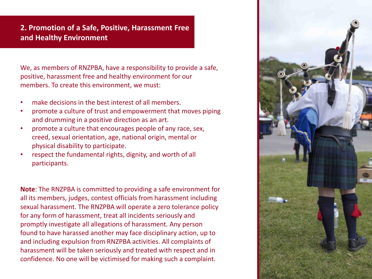#### **2. Promotion of a Safe, Positive, Harassment Free and Healthy Environment**

We, as members of RNZPBA, have a responsibility to provide a safe, positive, harassment free and healthy environment for our members. To create this environment, we must:

- make decisions in the best interest of all members.
- promote a culture of trust and empowerment that moves piping and drumming in a positive direction as an art.
- promote a culture that encourages people of any race, sex, creed, sexual orientation, age, national origin, mental or physical disability to participate.
- respect the fundamental rights, dignity, and worth of all participants.

**Note**: The RNZPBA is committed to providing a safe environment for all its members, judges, contest officials from harassment including sexual harassment. The RNZPBA will operate a zero tolerance policy for any form of harassment, treat all incidents seriously and promptly investigate all allegations of harassment. Any person found to have harassed another may face disciplinary action, up to and including expulsion from RNZPBA activities. All complaints of harassment will be taken seriously and treated with respect and in confidence. No one will be victimised for making such a complaint.

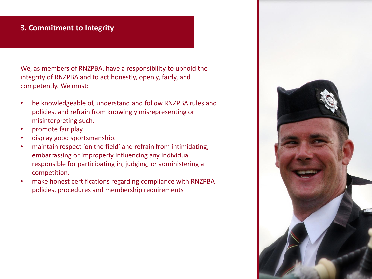#### **3. Commitment to Integrity**

We, as members of RNZPBA, have a responsibility to uphold the integrity of RNZPBA and to act honestly, openly, fairly, and competently. We must:

- be knowledgeable of, understand and follow RNZPBA rules and policies, and refrain from knowingly misrepresenting or misinterpreting such.
- promote fair play.
- display good sportsmanship.
- maintain respect 'on the field' and refrain from intimidating, embarrassing or improperly influencing any individual responsible for participating in, judging, or administering a competition.
- make honest certifications regarding compliance with RNZPBA policies, procedures and membership requirements

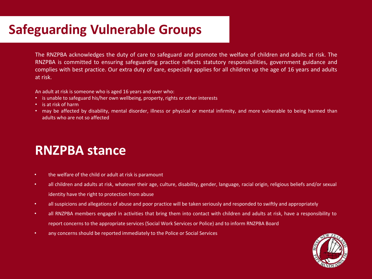### **Safeguarding Vulnerable Groups**

The RNZPBA acknowledges the duty of care to safeguard and promote the welfare of children and adults at risk. The RNZPBA is committed to ensuring safeguarding practice reflects statutory responsibilities, government guidance and complies with best practice. Our extra duty of care, especially applies for all children up the age of 16 years and adults at risk.

An adult at risk is someone who is aged 16 years and over who:

- is unable to safeguard his/her own wellbeing, property, rights or other interests
- is at risk of harm
- may be affected by disability, mental disorder, illness or physical or mental infirmity, and more vulnerable to being harmed than adults who are not so affected

### **RNZPBA stance**

- the welfare of the child or adult at risk is paramount
- all children and adults at risk, whatever their age, culture, disability, gender, language, racial origin, religious beliefs and/or sexual identity have the right to protection from abuse
- all suspicions and allegations of abuse and poor practice will be taken seriously and responded to swiftly and appropriately
- all RNZPBA members engaged in activities that bring them into contact with children and adults at risk, have a responsibility to report concerns to the appropriate services (Social Work Services or Police) and to inform RNZPBA Board
- any concerns should be reported immediately to the Police or Social Services

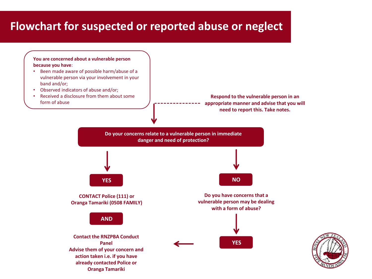### **Flowchart for suspected or reported abuse or neglect**



- Been made aware of possible harm/abuse of a vulnerable person via your involvement in your band and/or;
- Observed indicators of abuse and/or;
- Received a disclosure from them about some form of abuse

**Oranga Tamariki**

**Respond to the vulnerable person in an appropriate manner and advise that you will need to report this. Take notes.** 

**Do your concerns relate to a vulnerable person in immediate danger and need of protection?**



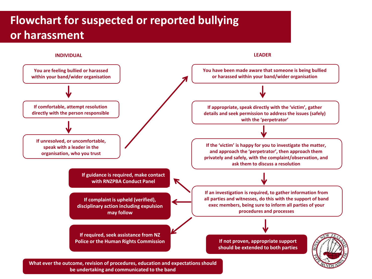### **Flowchart for suspected or reported bullying or harassment**



**be undertaking and communicated to the band**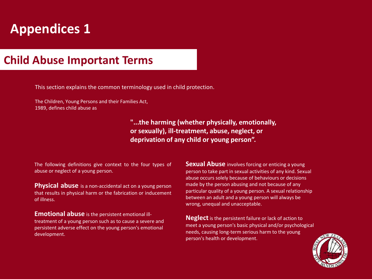# **Appendices 1**

#### **Child Abuse Important Terms**

This section explains the common terminology used in child protection.

The Children, Young Persons and their Families Act, 1989, defines child abuse as

> **"...the harming (whether physically, emotionally, or sexually), ill-treatment, abuse, neglect, or deprivation of any child or young person".**

The following definitions give context to the four types of abuse or neglect of a young person.

**Physical abuse** is a non-accidental act on a young person that results in physical harm or the fabrication or inducement of illness.

**Emotional abuse** is the persistent emotional illtreatment of a young person such as to cause a severe and persistent adverse effect on the young person's emotional development.

**Sexual Abuse** involves forcing or enticing a young person to take part in sexual activities of any kind. Sexual abuse occurs solely because of behaviours or decisions made by the person abusing and not because of any particular quality of a young person. A sexual relationship between an adult and a young person will always be wrong, unequal and unacceptable.

**Neglect** is the persistent failure or lack of action to meet a young person's basic physical and/or psychological needs, causing long-term serious harm to the young person's health or development.